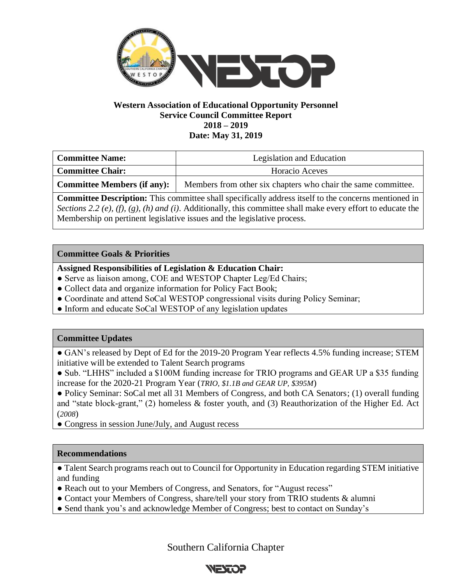

#### **Western Association of Educational Opportunity Personnel Service Council Committee Report 2018 – 2019 Date: May 31, 2019**

| <b>Committee Name:</b>      | Legislation and Education                                     |  |
|-----------------------------|---------------------------------------------------------------|--|
| <b>Committee Chair:</b>     | Horacio Aceves                                                |  |
| Committee Members (if any): | Members from other six chapters who chair the same committee. |  |

**Committee Description:** This committee shall specifically address itself to the concerns mentioned in *Sections 2.2 (e), (f), (g), (h) and (i)*. Additionally, this committee shall make every effort to educate the Membership on pertinent legislative issues and the legislative process.

## **Committee Goals & Priorities**

## **Assigned Responsibilities of Legislation & Education Chair:**

- Serve as liaison among, COE and WESTOP Chapter Leg/Ed Chairs;
- Collect data and organize information for Policy Fact Book;
- Coordinate and attend SoCal WESTOP congressional visits during Policy Seminar;
- Inform and educate SoCal WESTOP of any legislation updates

# **Committee Updates**

• GAN's released by Dept of Ed for the 2019-20 Program Year reflects 4.5% funding increase; STEM initiative will be extended to Talent Search programs

● Sub. "LHHS" included a \$100M funding increase for TRIO programs and GEAR UP a \$35 funding increase for the 2020-21 Program Year (*TRIO, \$1.1B and GEAR UP, \$395M*)

• Policy Seminar: SoCal met all 31 Members of Congress, and both CA Senators; (1) overall funding and "state block-grant," (2) homeless & foster youth, and (3) Reauthorization of the Higher Ed. Act (*2008*)

• Congress in session June/July, and August recess

#### **Recommendations**

● Talent Search programs reach out to Council for Opportunity in Education regarding STEM initiative and funding

- Reach out to your Members of Congress, and Senators, for "August recess"
- Contact your Members of Congress, share/tell your story from TRIO students & alumni
- Send thank you's and acknowledge Member of Congress; best to contact on Sunday's

Southern California Chapter